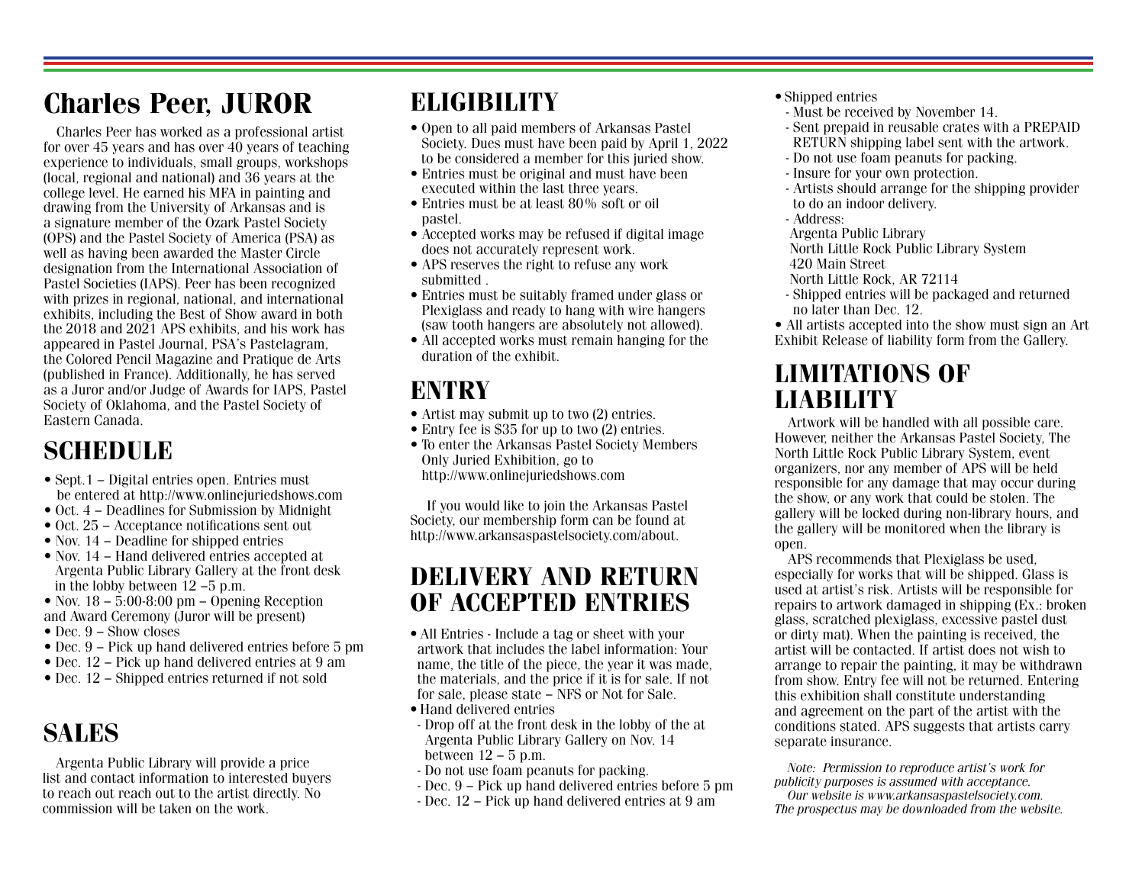# Charles Peer, JUROR

Charles Peer has worked as a professional artist for over 45 years and has over  $40$  years of teaching experience to individuals, small groups, workshops (local, regional and national) and 36 years at the college level. He earned his MFA in painting and drawing from the University of Arkansas and is a signature member of the Ozark Pastel Society (OPS) and the Pastel Society of America (PSA) as well as having been awarded the Master Circle designation from the International Association of Pastel Societies (IAPS). Peer has been recognized with prizes in regional, national, and international exhibits, including the Best of Show award in both the 2018 and 2021 APS exhibits, and his work has appeared in Pastel Journal, PSA's Pastelagram, the Colored Pencil Magazine and Pratique de Arts (published in France). Additionally, he has served as a Juror and/or Judge of Awards for IAPS, Pastel Society of Oklahoma, and the Pastel Society of Eastern Canada.

## SCHEDULE

- Sept.1 Digital entries open. Entries must be entered at http://www.onlinejuriedshows.com
- Oct. 4 Deadlines for Submission by Midnight
- Oct. 25 Acceptance notifications sent out
- Nov. 14 Deadline for shipped entries
- Nov. 14 Hand delivered entries accepted at Argenta Public Library Gallery at the front desk in the lobby between 12 –5 p.m.
- Nov.  $18 5:00 8:00$  pm Opening Reception and Award Ceremony (Juror will be present)
- Dec. 9 Show closes
- Dec. 9 Pick up hand delivered entries before 5 pm
- Dec. 12 Pick up hand delivered entries at 9 am
- Dec. 12 Shipped entries returned if not sold

### SALES

Argenta Public Library will provide a price list and contact information to interested buyers to reach out reach out to the artist directly. No commission will be taken on the work.

## **ELIGIBILITY**

- Open to all paid members of Arkansas Pastel Society. Dues must have been paid by April 1, 2022 to be considered a member for this juried show.
- Entries must be original and must have been executed within the last three years.
- Entries must be at least 80% soft or oil pastel.
- Accepted works may be refused if digital image does not accurately represent work.
- APS reserves the right to refuse any work submitted .
- Entries must be suitably framed under glass or Plexiglass and ready to hang with wire hangers (saw tooth hangers are absolutely not allowed).
- All accepted works must remain hanging for the duration of the exhibit.

- Artist may submit up to two (2) entries.
- Entry fee is \$35 for up to two (2) entries.
- To enter the Arkansas Pastel Society Members Only Juried Exhibition, go to http://www.onlinejuriedshows.com

 If you would like to join the Arkansas Pastel Society, our membership form can be found at http://www.arkansaspastelsociety.com/about.

### DELIVERY AND RETURN OF ACCEPTED ENTRIES

- All Entries Include a tag or sheet with your artwork that includes the label information: Your name, the title of the piece, the year it was made, the materials, and the price if it is for sale. If not for sale, please state – NFS or Not for Sale.
- Hand delivered entries
- Drop off at the front desk in the lobby of the at Argenta Public Library Gallery on Nov. 14 between 12 – 5 p.m.
- Do not use foam peanuts for packing.
- Dec. 9 Pick up hand delivered entries before 5 pm
- Dec. 12 Pick up hand delivered entries at 9 am
- Shipped entries
- Must be received by November 14.
- Sent prepaid in reusable crates with a PREPAID RETURN shipping label sent with the artwork.
- Do not use foam peanuts for packing.
- Insure for your own protection.
- Artists should arrange for the shipping provider to do an indoor delivery.
- Address:
- Argenta Public Library
- North Little Rock Public Library System 420 Main Street
- North Little Rock, AR 72114
- Shipped entries will be packaged and returned no later than Dec. 12.
- All artists accepted into the show must sign an Art Exhibit Release of liability form from the Gallery.

### LIMITATIONS OF ENTRY ENTRY LIABILITY

Artwork will be handled with all possible care. However, neither the Arkansas Pastel Society, The North Little Rock Public Library System, event organizers, nor any member of APS will be held responsible for any damage that may occur during the show, or any work that could be stolen. The gallery will be locked during non-library hours, and the gallery will be monitored when the library is open.

APS recommends that Plexiglass be used, especially for works that will be shipped. Glass is used at artist's risk. Artists will be responsible for repairs to artwork damaged in shipping (Ex.: broken glass, scratched plexiglass, excessive pastel dust or dirty mat). When the painting is received, the artist will be contacted. If artist does not wish to arrange to repair the painting, it may be withdrawn from show. Entry fee will not be returned. Entering this exhibition shall constitute understanding and agreement on the part of the artist with the conditions stated. APS suggests that artists carry separate insurance.

Note: Permission to reproduce artist's work for publicity purposes is assumed with acceptance.

Our website is www.arkansaspastelsociety.com. The prospectus may be downloaded from the website.